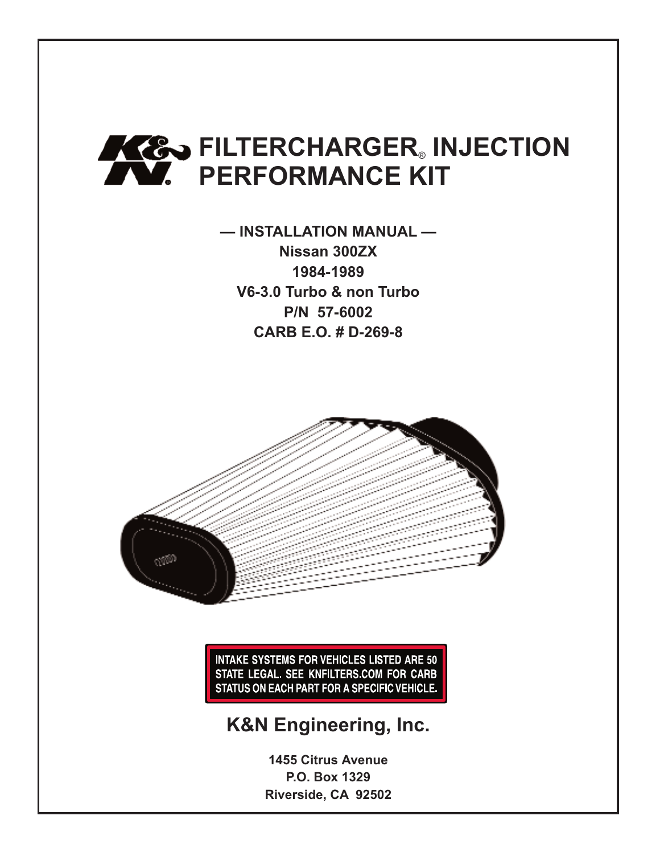# **FILTERCHARGER** INJECTION **PERFORMANCE KIT**

**— INSTALLATION MANUAL — Nissan 300ZX 1984-1989 V6-3.0 Turbo & non Turbo P/N 57-6002 CARB E.O. # D-269-8**



**INTAKE SYSTEMS FOR VEHICLES LISTED ARE 50** STATE LEGAL. SEE KNFILTERS.COM FOR CARB STATUS ON EACH PART FOR A SPECIFIC VEHICLE.

### **K&N Engineering, Inc.**

**1455 Citrus Avenue P.O. Box 1329 Riverside, CA 92502**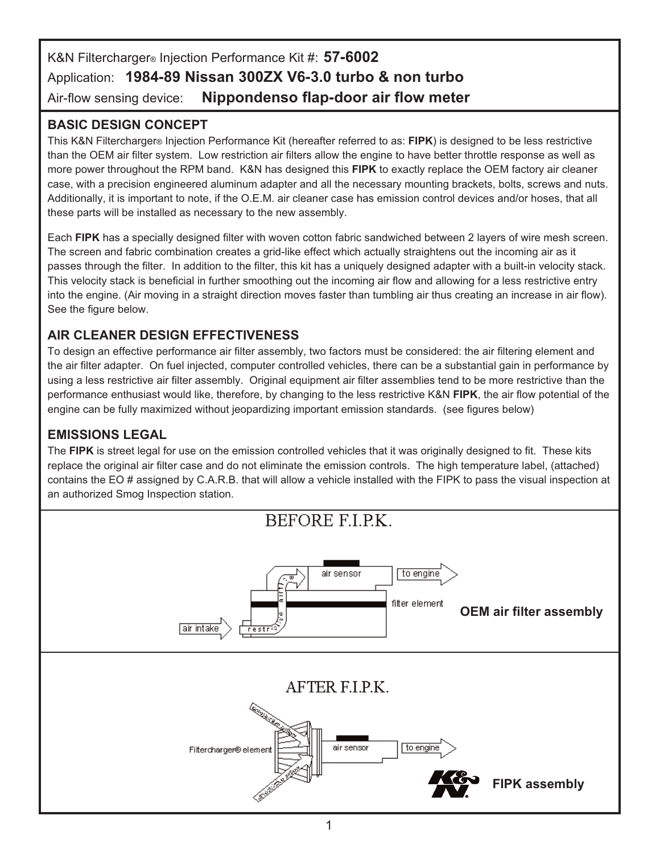#### K&N Filtercharger® Injection Performance Kit #: **57-6002** Application: **1984-89 Nissan 300ZX V6-3.0 turbo & non turbo** Air-flow sensing device: **Nippondenso flap-door air flow meter**

#### **BASIC DESIGN CONCEPT**

This K&N Filtercharger® Injection Performance Kit (hereafter referred to as: **FIPK**) is designed to be less restrictive than the OEM air filter system. Low restriction air filters allow the engine to have better throttle response as well as more power throughout the RPM band. K&N has designed this **FIPK** to exactly replace the OEM factory air cleaner case, with a precision engineered aluminum adapter and all the necessary mounting brackets, bolts, screws and nuts. Additionally, it is important to note, if the O.E.M. air cleaner case has emission control devices and/or hoses, that all these parts will be installed as necessary to the new assembly.

Each **FIPK** has a specially designed filter with woven cotton fabric sandwiched between 2 layers of wire mesh screen. The screen and fabric combination creates a grid-like effect which actually straightens out the incoming air as it passes through the filter. In addition to the filter, this kit has a uniquely designed adapter with a built-in velocity stack. This velocity stack is beneficial in further smoothing out the incoming air flow and allowing for a less restrictive entry into the engine. (Air moving in a straight direction moves faster than tumbling air thus creating an increase in air flow). See the figure below.

#### **AIR CLEANER DESIGN EFFECTIVENESS**

To design an effective performance air filter assembly, two factors must be considered: the air filtering element and the air filter adapter. On fuel injected, computer controlled vehicles, there can be a substantial gain in performance by using a less restrictive air filter assembly. Original equipment air filter assemblies tend to be more restrictive than the performance enthusiast would like, therefore, by changing to the less restrictive K&N **FIPK**, the air flow potential of the engine can be fully maximized without jeopardizing important emission standards. (see figures below)

#### **EMISSIONS LEGAL**

The **FIPK** is street legal for use on the emission controlled vehicles that it was originally designed to fit. These kits replace the original air filter case and do not eliminate the emission controls. The high temperature label, (attached) contains the EO # assigned by C.A.R.B. that will allow a vehicle installed with the FIPK to pass the visual inspection at an authorized Smog Inspection station.

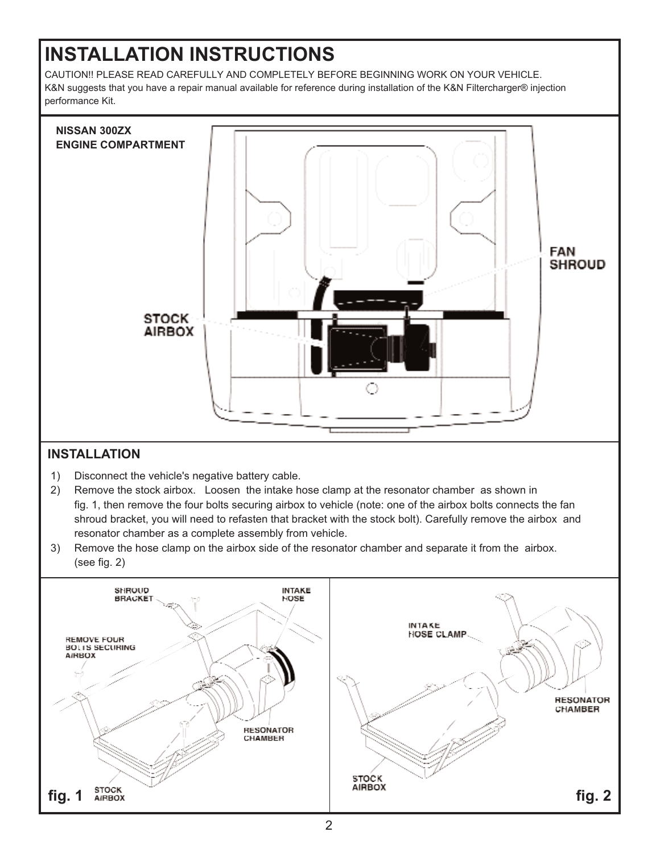## **INSTALLATION INSTRUCTIONS**

CAUTION!! PLEASE READ CAREFULLY AND COMPLETELY BEFORE BEGINNING WORK ON YOUR VEHICLE. K&N suggests that you have a repair manual available for reference during installation of the K&N Filtercharger® injection performance Kit.



#### **INSTALLATION**

- 1) Disconnect the vehicle's negative battery cable.
- 2) Remove the stock airbox. Loosen the intake hose clamp at the resonator chamber as shown in fig. 1, then remove the four bolts securing airbox to vehicle (note: one of the airbox bolts connects the fan shroud bracket, you will need to refasten that bracket with the stock bolt). Carefully remove the airbox and resonator chamber as a complete assembly from vehicle.
- 3) Remove the hose clamp on the airbox side of the resonator chamber and separate it from the airbox. (see fig. 2)